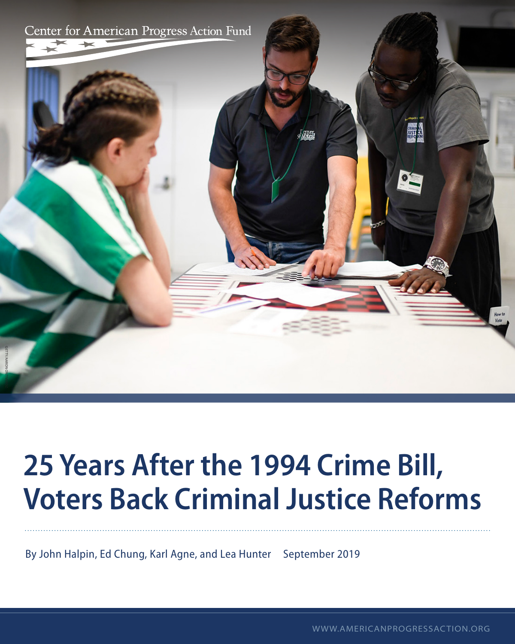

# **25 Years After the 1994 Crime Bill, Voters Back Criminal Justice Reforms**

By John Halpin, Ed Chung, Karl Agne, and Lea Hunter September 2019

WWW.AMERICANPROGRESSACTION.ORG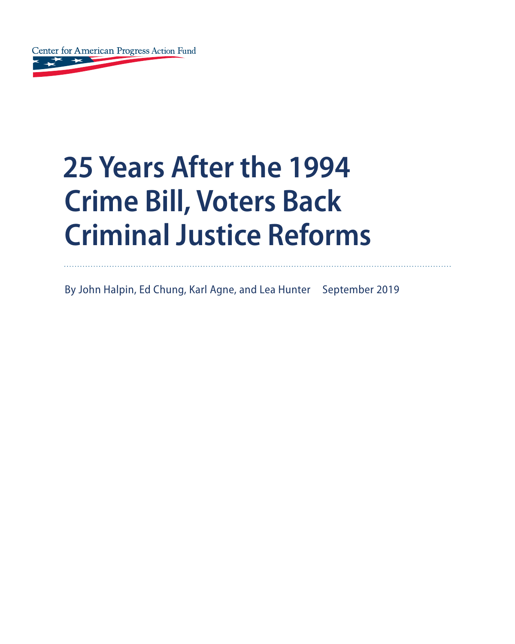

# **25 Years After the 1994 Crime Bill, Voters Back Criminal Justice Reforms**

By John Halpin, Ed Chung, Karl Agne, and Lea Hunter September 2019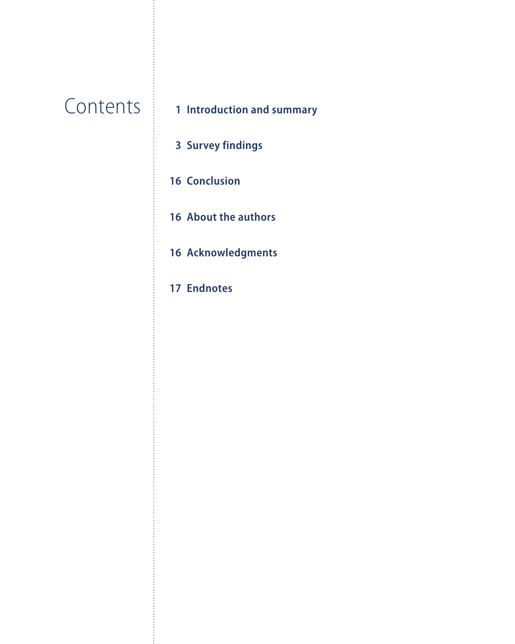# **Contents**

# **Introduction and summary**

- **Survey findings**
- **Conclusion**
- **About the authors**
- **Acknowledgments**
- **Endnotes**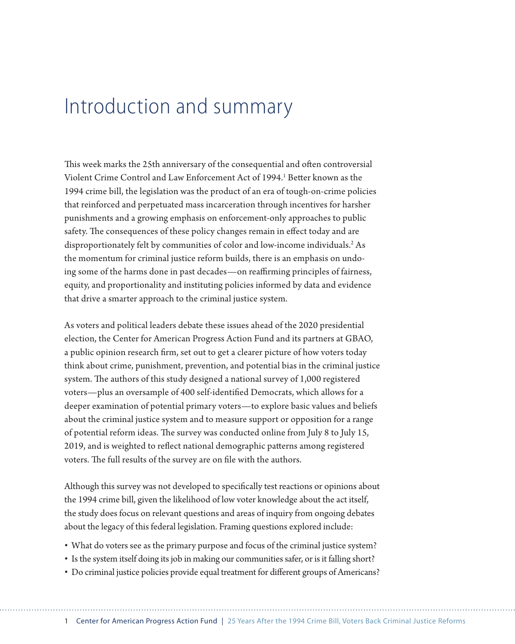# Introduction and summary

This week marks the 25th anniversary of the consequential and often controversial Violent Crime Control and Law Enforcement Act of 1994.<sup>1</sup> Better known as the 1994 crime bill, the legislation was the product of an era of tough-on-crime policies that reinforced and perpetuated mass incarceration through incentives for harsher punishments and a growing emphasis on enforcement-only approaches to public safety. The consequences of these policy changes remain in effect today and are disproportionately felt by communities of color and low-income individuals.<sup>2</sup> As the momentum for criminal justice reform builds, there is an emphasis on undoing some of the harms done in past decades—on reaffirming principles of fairness, equity, and proportionality and instituting policies informed by data and evidence that drive a smarter approach to the criminal justice system.

As voters and political leaders debate these issues ahead of the 2020 presidential election, the Center for American Progress Action Fund and its partners at GBAO, a public opinion research firm, set out to get a clearer picture of how voters today think about crime, punishment, prevention, and potential bias in the criminal justice system. The authors of this study designed a national survey of 1,000 registered voters—plus an oversample of 400 self-identified Democrats, which allows for a deeper examination of potential primary voters—to explore basic values and beliefs about the criminal justice system and to measure support or opposition for a range of potential reform ideas. The survey was conducted online from July 8 to July 15, 2019, and is weighted to reflect national demographic patterns among registered voters. The full results of the survey are on file with the authors.

Although this survey was not developed to specifically test reactions or opinions about the 1994 crime bill, given the likelihood of low voter knowledge about the act itself, the study does focus on relevant questions and areas of inquiry from ongoing debates about the legacy of this federal legislation. Framing questions explored include:

- What do voters see as the primary purpose and focus of the criminal justice system?
- Is the system itself doing its job in making our communities safer, or is it falling short?
- Do criminal justice policies provide equal treatment for different groups of Americans?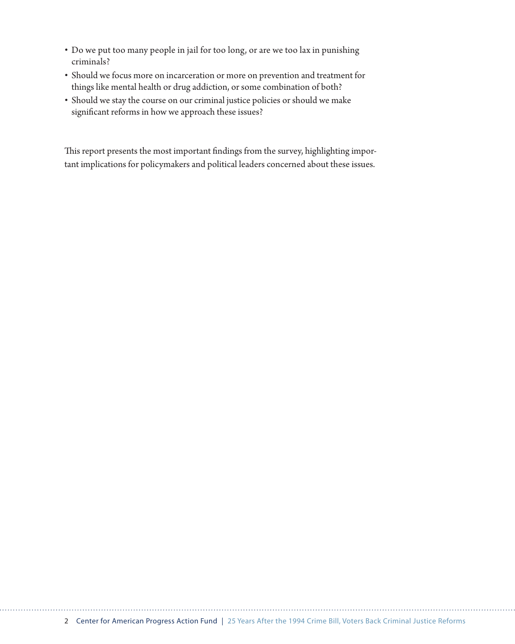- Do we put too many people in jail for too long, or are we too lax in punishing criminals?
- Should we focus more on incarceration or more on prevention and treatment for things like mental health or drug addiction, or some combination of both?
- Should we stay the course on our criminal justice policies or should we make significant reforms in how we approach these issues?

This report presents the most important findings from the survey, highlighting important implications for policymakers and political leaders concerned about these issues.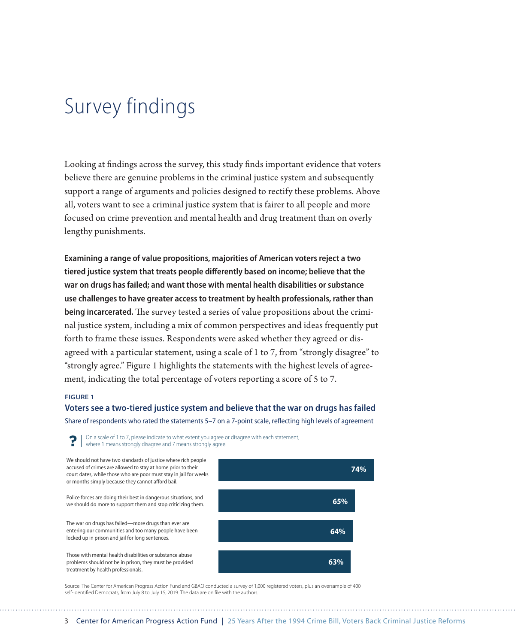# Survey findings

Looking at findings across the survey, this study finds important evidence that voters believe there are genuine problems in the criminal justice system and subsequently support a range of arguments and policies designed to rectify these problems. Above all, voters want to see a criminal justice system that is fairer to all people and more focused on crime prevention and mental health and drug treatment than on overly lengthy punishments.

**Examining a range of value propositions, majorities of American voters reject a two tiered justice system that treats people differently based on income; believe that the war on drugs has failed; and want those with mental health disabilities or substance use challenges to have greater access to treatment by health professionals, rather than being incarcerated.** The survey tested a series of value propositions about the criminal justice system, including a mix of common perspectives and ideas frequently put forth to frame these issues. Respondents were asked whether they agreed or disagreed with a particular statement, using a scale of 1 to 7, from "strongly disagree" to "strongly agree." Figure 1 highlights the statements with the highest levels of agreement, indicating the total percentage of voters reporting a score of 5 to 7.

#### **FIGURE 1**

# **Voters see a two-tiered justice system and believe that the war on drugs has failed**

Share of respondents who rated the statements 5–7 on a 7-point scale, reflecting high levels of agreement

On a scale of 1 to 7, please indicate to what extent you agree or disagree with each statement,  $\bigcap$   $\bigcap$  on a scale of 1 to 7, please indicate to write Condity  $\bigcup_{n=1}^{\infty}$  agree.

We should not have two standards of justice where rich people accused of crimes are allowed to stay at home prior to their court dates, while those who are poor must stay in jail for weeks or months simply because they cannot afford bail.

Police forces are doing their best in dangerous situations, and we should do more to support them and stop criticizing them.

The war on drugs has failed—more drugs than ever are entering our communities and too many people have been locked up in prison and jail for long sentences.

Those with mental health disabilities or substance abuse problems should not be in prison, they must be provided treatment by health professionals.



Source: The Center for American Progress Action Fund and GBAO conducted a survey of 1,000 registered voters, plus an oversample of 400 self-identified Democrats, from July 8 to July 15, 2019. The data are on file with the authors.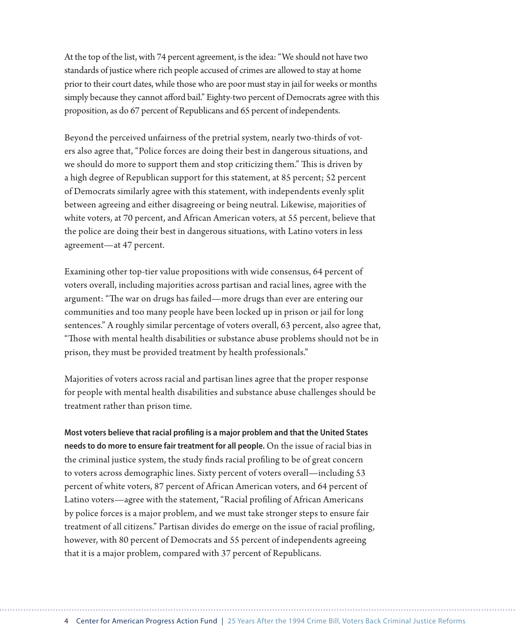At the top of the list, with 74 percent agreement, is the idea: "We should not have two standards of justice where rich people accused of crimes are allowed to stay at home prior to their court dates, while those who are poor must stay in jail for weeks or months simply because they cannot afford bail." Eighty-two percent of Democrats agree with this proposition, as do 67 percent of Republicans and 65 percent of independents.

Beyond the perceived unfairness of the pretrial system, nearly two-thirds of voters also agree that, "Police forces are doing their best in dangerous situations, and we should do more to support them and stop criticizing them." This is driven by a high degree of Republican support for this statement, at 85 percent; 52 percent of Democrats similarly agree with this statement, with independents evenly split between agreeing and either disagreeing or being neutral. Likewise, majorities of white voters, at 70 percent, and African American voters, at 55 percent, believe that the police are doing their best in dangerous situations, with Latino voters in less agreement—at 47 percent.

Examining other top-tier value propositions with wide consensus, 64 percent of voters overall, including majorities across partisan and racial lines, agree with the argument: "The war on drugs has failed—more drugs than ever are entering our communities and too many people have been locked up in prison or jail for long sentences." A roughly similar percentage of voters overall, 63 percent, also agree that, "Those with mental health disabilities or substance abuse problems should not be in prison, they must be provided treatment by health professionals."

Majorities of voters across racial and partisan lines agree that the proper response for people with mental health disabilities and substance abuse challenges should be treatment rather than prison time.

**Most voters believe that racial profiling is a major problem and that the United States needs to do more to ensure fair treatment for all people.** On the issue of racial bias in the criminal justice system, the study finds racial profiling to be of great concern to voters across demographic lines. Sixty percent of voters overall—including 53 percent of white voters, 87 percent of African American voters, and 64 percent of Latino voters—agree with the statement, "Racial profiling of African Americans by police forces is a major problem, and we must take stronger steps to ensure fair treatment of all citizens." Partisan divides do emerge on the issue of racial profiling, however, with 80 percent of Democrats and 55 percent of independents agreeing that it is a major problem, compared with 37 percent of Republicans.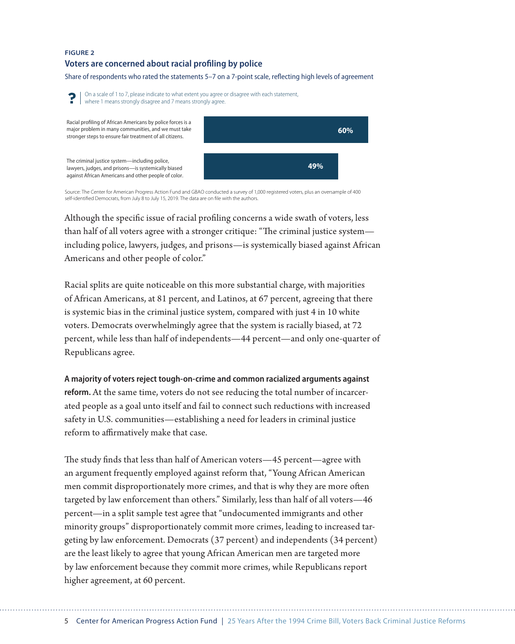#### **FIGURE 2**

#### **Voters are concerned about racial profiling by police**

Share of respondents who rated the statements 5–7 on a 7-point scale, reflecting high levels of agreement



Source: The Center for American Progress Action Fund and GBAO conducted a survey of 1,000 registered voters, plus an oversample of 400 self-identified Democrats, from July 8 to July 15, 2019. The data are on file with the authors.

Although the specific issue of racial profiling concerns a wide swath of voters, less than half of all voters agree with a stronger critique: "The criminal justice system including police, lawyers, judges, and prisons—is systemically biased against African Americans and other people of color."

Racial splits are quite noticeable on this more substantial charge, with majorities of African Americans, at 81 percent, and Latinos, at 67 percent, agreeing that there is systemic bias in the criminal justice system, compared with just 4 in 10 white voters. Democrats overwhelmingly agree that the system is racially biased, at 72 percent, while less than half of independents—44 percent—and only one-quarter of Republicans agree.

**A majority of voters reject tough-on-crime and common racialized arguments against reform.** At the same time, voters do not see reducing the total number of incarcerated people as a goal unto itself and fail to connect such reductions with increased safety in U.S. communities—establishing a need for leaders in criminal justice reform to affirmatively make that case.

The study finds that less than half of American voters—45 percent—agree with an argument frequently employed against reform that, "Young African American men commit disproportionately more crimes, and that is why they are more often targeted by law enforcement than others." Similarly, less than half of all voters—46 percent—in a split sample test agree that "undocumented immigrants and other minority groups" disproportionately commit more crimes, leading to increased targeting by law enforcement. Democrats (37 percent) and independents (34 percent) are the least likely to agree that young African American men are targeted more by law enforcement because they commit more crimes, while Republicans report higher agreement, at 60 percent.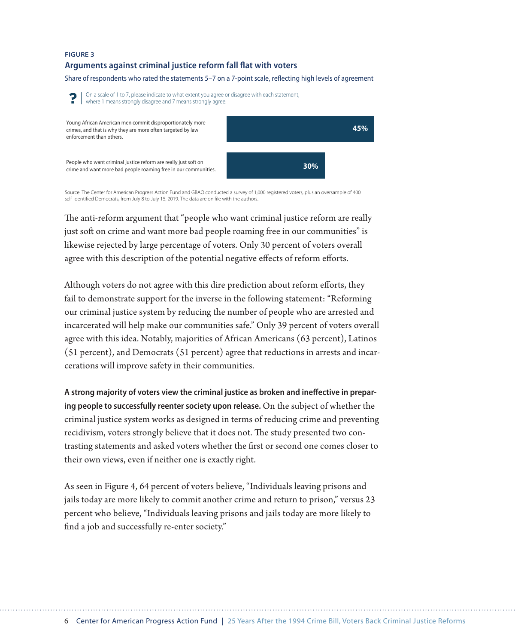#### **FIGURE 3**

#### **Arguments against criminal justice reform fall flat with voters**

Share of respondents who rated the statements 5–7 on a 7-point scale, reflecting high levels of agreement



Source: The Center for American Progress Action Fund and GBAO conducted a survey of 1,000 registered voters, plus an oversample of 400 self-identified Democrats, from July 8 to July 15, 2019. The data are on file with the authors.

The anti-reform argument that "people who want criminal justice reform are really just soft on crime and want more bad people roaming free in our communities" is likewise rejected by large percentage of voters. Only 30 percent of voters overall agree with this description of the potential negative effects of reform efforts.

Although voters do not agree with this dire prediction about reform efforts, they fail to demonstrate support for the inverse in the following statement: "Reforming our criminal justice system by reducing the number of people who are arrested and incarcerated will help make our communities safe." Only 39 percent of voters overall agree with this idea. Notably, majorities of African Americans (63 percent), Latinos (51 percent), and Democrats (51 percent) agree that reductions in arrests and incarcerations will improve safety in their communities.

**A strong majority of voters view the criminal justice as broken and ineffective in preparing people to successfully reenter society upon release.** On the subject of whether the criminal justice system works as designed in terms of reducing crime and preventing recidivism, voters strongly believe that it does not. The study presented two contrasting statements and asked voters whether the first or second one comes closer to their own views, even if neither one is exactly right.

As seen in Figure 4, 64 percent of voters believe, "Individuals leaving prisons and jails today are more likely to commit another crime and return to prison," versus 23 percent who believe, "Individuals leaving prisons and jails today are more likely to find a job and successfully re-enter society."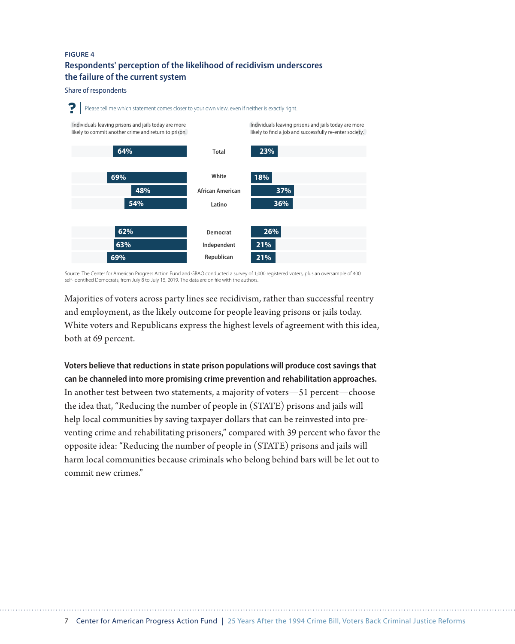# **FIGURE 4 Respondents' perception of the likelihood of recidivism underscores the failure of the current system**

Share of respondents



Source: The Center for American Progress Action Fund and GBAO conducted a survey of 1,000 registered voters, plus an oversample of 400 self-identified Democrats, from July  $8$  to July 15, 2019. The data are on file with the authors.

Majorities of voters across party lines see recidivism, rather than successful reentry and employment, as the likely outcome for people leaving prisons or jails today. White voters and Republicans express the highest levels of agreement with this idea, both at 69 percent.

**Voters believe that reductions in state prison populations will produce cost savings that can be channeled into more promising crime prevention and rehabilitation approaches.** In another test between two statements, a majority of voters—51 percent—choose the idea that, "Reducing the number of people in (STATE) prisons and jails will help local communities by saving taxpayer dollars that can be reinvested into preventing crime and rehabilitating prisoners," compared with 39 percent who favor the opposite idea: "Reducing the number of people in (STATE) prisons and jails will harm local communities because criminals who belong behind bars will be let out to commit new crimes."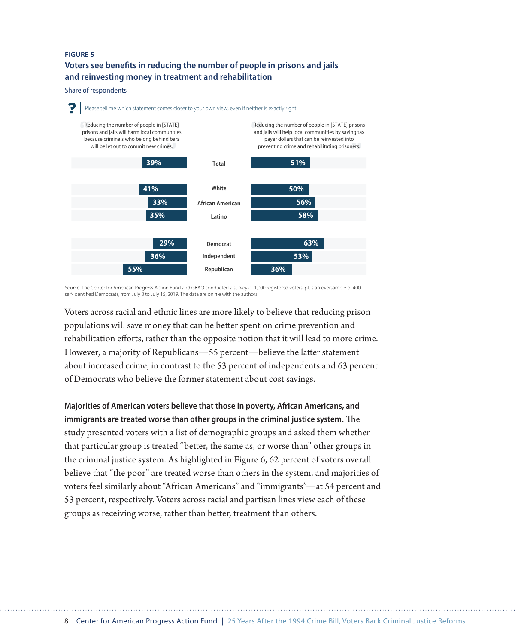#### **FIGURE 5**

**Voters see benefits in reducing the number of people in prisons and jails and reinvesting money in treatment and rehabilitation**

Share of respondents



Source: The Center for American Progress Action Fund and GBAO conducted a survey of 1,000 registered voters, plus an oversample of 400 self-identified Democrats, from July  $8$  to July 15, 2019. The data are on file with the authors

Voters across racial and ethnic lines are more likely to believe that reducing prison populations will save money that can be better spent on crime prevention and rehabilitation efforts, rather than the opposite notion that it will lead to more crime. However, a majority of Republicans—55 percent—believe the latter statement about increased crime, in contrast to the 53 percent of independents and 63 percent of Democrats who believe the former statement about cost savings.

**Majorities of American voters believe that those in poverty, African Americans, and immigrants are treated worse than other groups in the criminal justice system.** The study presented voters with a list of demographic groups and asked them whether that particular group is treated "better, the same as, or worse than" other groups in the criminal justice system. As highlighted in Figure 6, 62 percent of voters overall believe that "the poor" are treated worse than others in the system, and majorities of voters feel similarly about "African Americans" and "immigrants"—at 54 percent and 53 percent, respectively. Voters across racial and partisan lines view each of these groups as receiving worse, rather than better, treatment than others.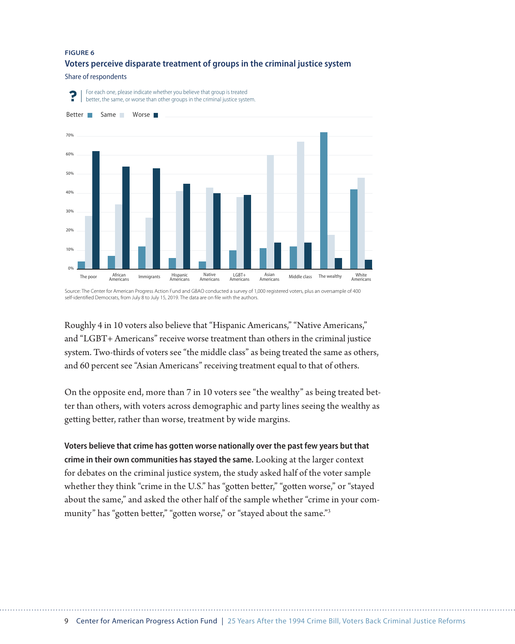#### **FIGURE 6**

#### **Voters perceive disparate treatment of groups in the criminal justice system**

Share of respondents



Source: The Center for American Progress Action Fund and GBAO conducted a survey of 1,000 registered voters, plus an oversample of 400 self-identified Democrats, from July 8 to July 15, 2019. The data are on file with the authors.

Roughly 4 in 10 voters also believe that "Hispanic Americans," "Native Americans," and "LGBT+ Americans" receive worse treatment than others in the criminal justice system. Two-thirds of voters see "the middle class" as being treated the same as others, and 60 percent see "Asian Americans" receiving treatment equal to that of others.

On the opposite end, more than 7 in 10 voters see "the wealthy" as being treated better than others, with voters across demographic and party lines seeing the wealthy as getting better, rather than worse, treatment by wide margins.

**Voters believe that crime has gotten worse nationally over the past few years but that crime in their own communities has stayed the same.** Looking at the larger context for debates on the criminal justice system, the study asked half of the voter sample whether they think "crime in the U.S." has "gotten better," "gotten worse," or "stayed about the same," and asked the other half of the sample whether "crime in your community" has "gotten better," "gotten worse," or "stayed about the same."<sup>3</sup>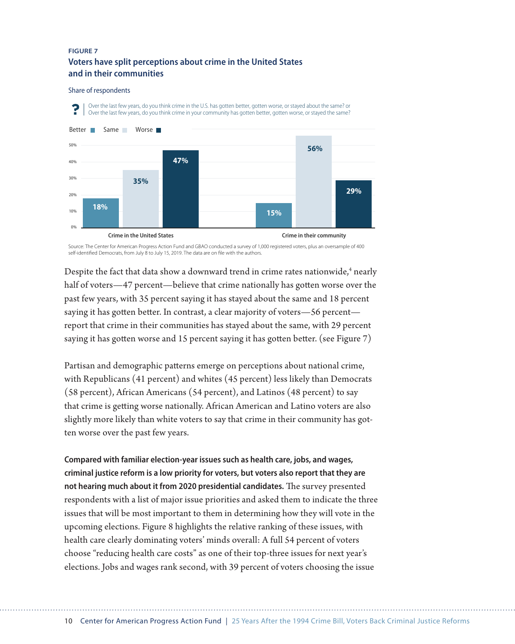### **FIGURE 7 Voters have split perceptions about crime in the United States and in their communities**

#### Share of respondents



Source: The Center for American Progress Action Fund and GBAO conducted a survey of 1,000 registered voters, plus an oversample of 400 self-identified Democrats, from July 8 to July 15, 2019. The data are on file with the authors.

Despite the fact that data show a downward trend in crime rates nationwide,<sup>4</sup> nearly half of voters—47 percent—believe that crime nationally has gotten worse over the past few years, with 35 percent saying it has stayed about the same and 18 percent saying it has gotten better. In contrast, a clear majority of voters—56 percent report that crime in their communities has stayed about the same, with 29 percent saying it has gotten worse and 15 percent saying it has gotten better. (see Figure 7)

Partisan and demographic patterns emerge on perceptions about national crime, with Republicans (41 percent) and whites (45 percent) less likely than Democrats (58 percent), African Americans (54 percent), and Latinos (48 percent) to say that crime is getting worse nationally. African American and Latino voters are also slightly more likely than white voters to say that crime in their community has gotten worse over the past few years.

**Compared with familiar election-year issues such as health care, jobs, and wages, criminal justice reform is a low priority for voters, but voters also report that they are not hearing much about it from 2020 presidential candidates.** The survey presented respondents with a list of major issue priorities and asked them to indicate the three issues that will be most important to them in determining how they will vote in the upcoming elections. Figure 8 highlights the relative ranking of these issues, with health care clearly dominating voters' minds overall: A full 54 percent of voters choose "reducing health care costs" as one of their top-three issues for next year's elections. Jobs and wages rank second, with 39 percent of voters choosing the issue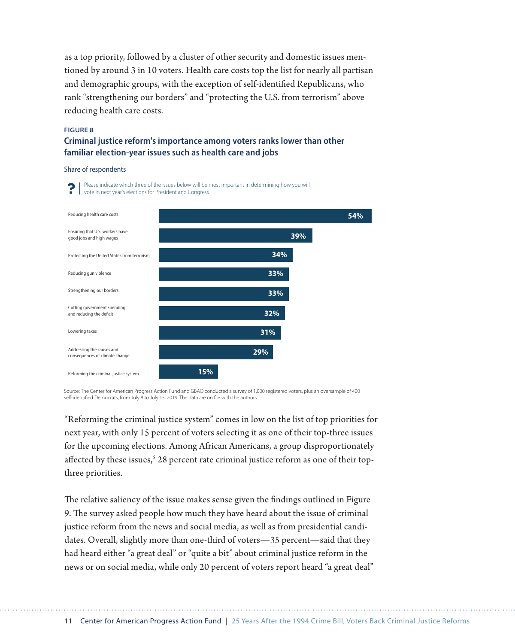as a top priority, followed by a cluster of other security and domestic issues mentioned by around 3 in 10 voters. Health care costs top the list for nearly all partisan and demographic groups, with the exception of self-identified Republicans, who rank "strengthening our borders" and "protecting the U.S. from terrorism" above reducing health care costs.

#### **FIGURE 8**

### **Criminal justice reform's importance among voters ranks lower than other familiar election-year issues such as health care and jobs**

Share of respondents



Source: The Center for American Progress Action Fund and GBAO conducted a survey of 1,000 registered voters, plus an oversample of 400 self-identified Democrats, from July 8 to July 15, 2019. The data are on file with the authors.

"Reforming the criminal justice system" comes in low on the list of top priorities for next year, with only 15 percent of voters selecting it as one of their top-three issues for the upcoming elections. Among African Americans, a group disproportionately affected by these issues, $^{\mathrm{s}}$  28 percent rate criminal justice reform as one of their topthree priorities.

The relative saliency of the issue makes sense given the findings outlined in Figure 9. The survey asked people how much they have heard about the issue of criminal justice reform from the news and social media, as well as from presidential candidates. Overall, slightly more than one-third of voters—35 percent—said that they had heard either "a great deal" or "quite a bit" about criminal justice reform in the news or on social media, while only 20 percent of voters report heard "a great deal"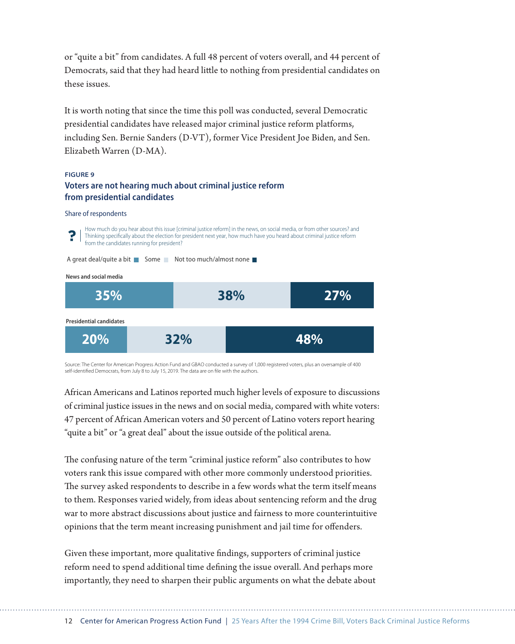or "quite a bit" from candidates. A full 48 percent of voters overall, and 44 percent of Democrats, said that they had heard little to nothing from presidential candidates on these issues.

It is worth noting that since the time this poll was conducted, several Democratic presidential candidates have released major criminal justice reform platforms, including Sen. Bernie Sanders (D-VT), former Vice President Joe Biden, and Sen. Elizabeth Warren (D-MA).

#### **FIGURE 9**

### **Voters are not hearing much about criminal justice reform from presidential candidates**

#### Share of respondents



Source: The Center for American Progress Action Fund and GBAO conducted a survey of 1,000 registered voters, plus an oversample of 400 self-identified Democrats, from July  $8$  to July 15, 2019. The data are on file with the authors.

African Americans and Latinos reported much higher levels of exposure to discussions of criminal justice issues in the news and on social media, compared with white voters: 47 percent of African American voters and 50 percent of Latino voters report hearing "quite a bit" or "a great deal" about the issue outside of the political arena.

The confusing nature of the term "criminal justice reform" also contributes to how voters rank this issue compared with other more commonly understood priorities. The survey asked respondents to describe in a few words what the term itself means to them. Responses varied widely, from ideas about sentencing reform and the drug war to more abstract discussions about justice and fairness to more counterintuitive opinions that the term meant increasing punishment and jail time for offenders.

Given these important, more qualitative findings, supporters of criminal justice reform need to spend additional time defining the issue overall. And perhaps more importantly, they need to sharpen their public arguments on what the debate about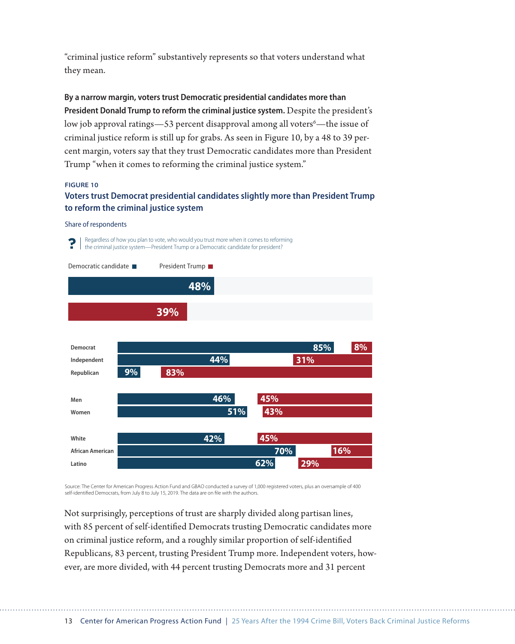"criminal justice reform" substantively represents so that voters understand what they mean.

**By a narrow margin, voters trust Democratic presidential candidates more than President Donald Trump to reform the criminal justice system.** Despite the president's low job approval ratings—53 percent disapproval among all voters<sup>6</sup>—the issue of criminal justice reform is still up for grabs. As seen in Figure 10, by a 48 to 39 percent margin, voters say that they trust Democratic candidates more than President Trump "when it comes to reforming the criminal justice system."

#### **FIGURE 10**

### **Voters trust Democrat presidential candidates slightly more than President Trump to reform the criminal justice system**

#### Share of respondents



Source: The Center for American Progress Action Fund and GBAO conducted a survey of 1,000 registered voters, plus an oversample of 400 self-identified Democrats, from July 8 to July 15, 2019. The data are on file with the authors.

Not surprisingly, perceptions of trust are sharply divided along partisan lines, with 85 percent of self-identified Democrats trusting Democratic candidates more on criminal justice reform, and a roughly similar proportion of self-identified Republicans, 83 percent, trusting President Trump more. Independent voters, however, are more divided, with 44 percent trusting Democrats more and 31 percent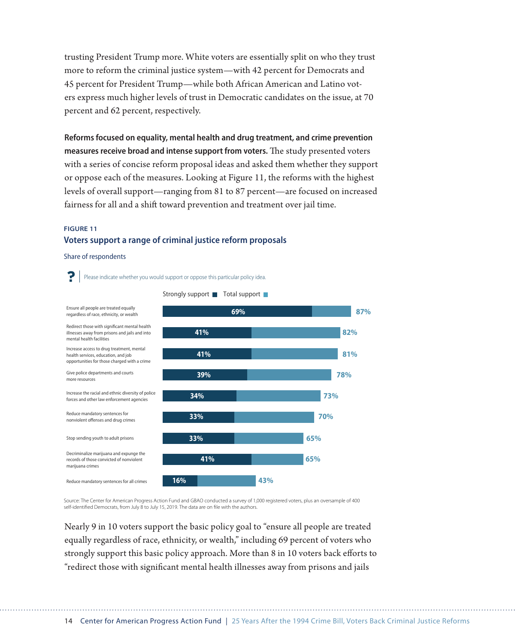trusting President Trump more. White voters are essentially split on who they trust more to reform the criminal justice system—with 42 percent for Democrats and 45 percent for President Trump—while both African American and Latino voters express much higher levels of trust in Democratic candidates on the issue, at 70 percent and 62 percent, respectively.

**Reforms focused on equality, mental health and drug treatment, and crime prevention measures receive broad and intense support from voters.** The study presented voters with a series of concise reform proposal ideas and asked them whether they support or oppose each of the measures. Looking at Figure 11, the reforms with the highest levels of overall support—ranging from 81 to 87 percent—are focused on increased fairness for all and a shift toward prevention and treatment over jail time.

### **FIGURE 11 Voters support a range of criminal justice reform proposals**

Share of respondents



Source: The Center for American Progress Action Fund and GBAO conducted a survey of 1,000 registered voters, plus an oversample of 400 self-identified Democrats, from July 8 to July 15, 2019. The data are on file with the authors.

Nearly 9 in 10 voters support the basic policy goal to "ensure all people are treated equally regardless of race, ethnicity, or wealth," including 69 percent of voters who strongly support this basic policy approach. More than 8 in 10 voters back efforts to "redirect those with significant mental health illnesses away from prisons and jails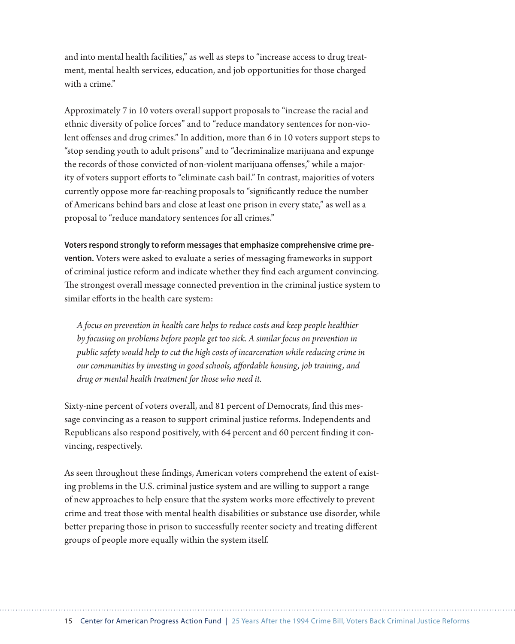and into mental health facilities," as well as steps to "increase access to drug treatment, mental health services, education, and job opportunities for those charged with a crime"

Approximately 7 in 10 voters overall support proposals to "increase the racial and ethnic diversity of police forces" and to "reduce mandatory sentences for non-violent offenses and drug crimes." In addition, more than 6 in 10 voters support steps to "stop sending youth to adult prisons" and to "decriminalize marijuana and expunge the records of those convicted of non-violent marijuana offenses," while a majority of voters support efforts to "eliminate cash bail." In contrast, majorities of voters currently oppose more far-reaching proposals to "significantly reduce the number of Americans behind bars and close at least one prison in every state," as well as a proposal to "reduce mandatory sentences for all crimes."

**Voters respond strongly to reform messages that emphasize comprehensive crime prevention.** Voters were asked to evaluate a series of messaging frameworks in support of criminal justice reform and indicate whether they find each argument convincing. The strongest overall message connected prevention in the criminal justice system to similar efforts in the health care system:

*A focus on prevention in health care helps to reduce costs and keep people healthier by focusing on problems before people get too sick. A similar focus on prevention in public safety would help to cut the high costs of incarceration while reducing crime in our communities by investing in good schools, affordable housing, job training, and drug or mental health treatment for those who need it.*

Sixty-nine percent of voters overall, and 81 percent of Democrats, find this message convincing as a reason to support criminal justice reforms. Independents and Republicans also respond positively, with 64 percent and 60 percent finding it convincing, respectively.

As seen throughout these findings, American voters comprehend the extent of existing problems in the U.S. criminal justice system and are willing to support a range of new approaches to help ensure that the system works more effectively to prevent crime and treat those with mental health disabilities or substance use disorder, while better preparing those in prison to successfully reenter society and treating different groups of people more equally within the system itself.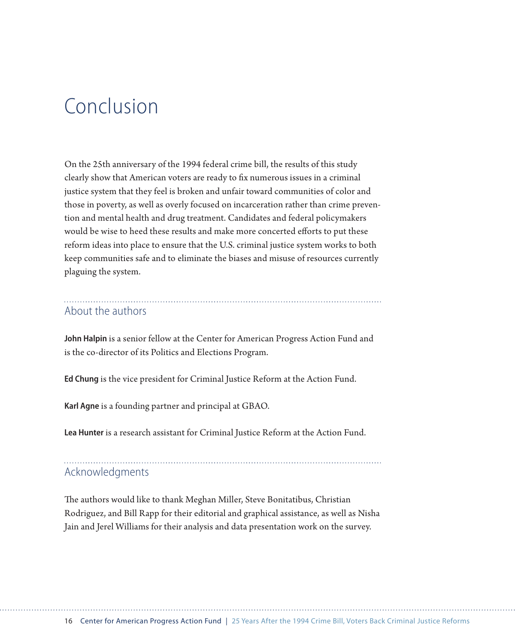# Conclusion

On the 25th anniversary of the 1994 federal crime bill, the results of this study clearly show that American voters are ready to fix numerous issues in a criminal justice system that they feel is broken and unfair toward communities of color and those in poverty, as well as overly focused on incarceration rather than crime prevention and mental health and drug treatment. Candidates and federal policymakers would be wise to heed these results and make more concerted efforts to put these reform ideas into place to ensure that the U.S. criminal justice system works to both keep communities safe and to eliminate the biases and misuse of resources currently plaguing the system.

# About the authors

**John Halpin** is a senior fellow at the Center for American Progress Action Fund and is the co-director of its Politics and Elections Program.

**Ed Chung** is the vice president for Criminal Justice Reform at the Action Fund.

**Karl Agne** is a founding partner and principal at GBAO.

**Lea Hunter** is a research assistant for Criminal Justice Reform at the Action Fund.

# Acknowledgments

The authors would like to thank Meghan Miller, Steve Bonitatibus, Christian Rodriguez, and Bill Rapp for their editorial and graphical assistance, as well as Nisha Jain and Jerel Williams for their analysis and data presentation work on the survey.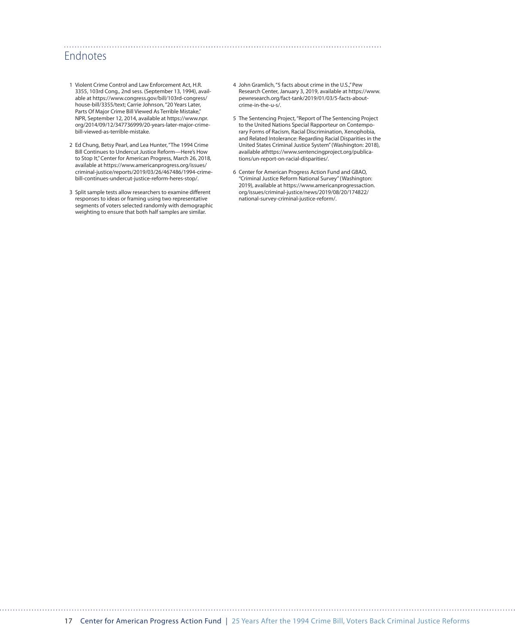# **Endnotes**

- 1 Violent Crime Control and Law Enforcement Act, H.R. 3355, 103rd Cong., 2nd sess. (September 13, 1994), available at [https://www.congress.gov/bill/103rd-congress/](https://www.congress.gov/bill/103rd-congress/house-bill/3355/text) [house-bill/3355/text](https://www.congress.gov/bill/103rd-congress/house-bill/3355/text); Carrie Johnson, "20 Years Later, Parts Of Major Crime Bill Viewed As Terrible Mistake," NPR, September 12, 2014, available at [https://www.npr.](https://www.npr.org/2014/09/12/347736999/20-years-later-major-crime-bill-viewed-as-terrible-mistake) [org/2014/09/12/347736999/20-years-later-major-crime](https://www.npr.org/2014/09/12/347736999/20-years-later-major-crime-bill-viewed-as-terrible-mistake)[bill-viewed-as-terrible-mistake](https://www.npr.org/2014/09/12/347736999/20-years-later-major-crime-bill-viewed-as-terrible-mistake).
- 2 Ed Chung, Betsy Pearl, and Lea Hunter, "The 1994 Crime Bill Continues to Undercut Justice Reform—Here's How to Stop It," Center for American Progress, March 26, 2018, available at [https://www.americanprogress.org/issues/](https://www.americanprogress.org/issues/criminal-justice/reports/2019/03/26/467486/1994-crime-bill-continues-undercut-justice-reform-heres-stop/) [criminal-justice/reports/2019/03/26/467486/1994-crime](https://www.americanprogress.org/issues/criminal-justice/reports/2019/03/26/467486/1994-crime-bill-continues-undercut-justice-reform-heres-stop/)[bill-continues-undercut-justice-reform-heres-stop/.](https://www.americanprogress.org/issues/criminal-justice/reports/2019/03/26/467486/1994-crime-bill-continues-undercut-justice-reform-heres-stop/)
- 3 Split sample tests allow researchers to examine different responses to ideas or framing using two representative segments of voters selected randomly with demographic weighting to ensure that both half samples are similar.

4 John Gramlich, "5 facts about crime in the U.S.," Pew Research Center, January 3, 2019, available at [https://www.](https://www.pewresearch.org/fact-tank/2019/01/03/5-facts-about-crime-in-the-u-s/) [pewresearch.org/fact-tank/2019/01/03/5-facts-about](https://www.pewresearch.org/fact-tank/2019/01/03/5-facts-about-crime-in-the-u-s/)[crime-in-the-u-s/](https://www.pewresearch.org/fact-tank/2019/01/03/5-facts-about-crime-in-the-u-s/).

- 5 The Sentencing Project, "Report of The Sentencing Project to the United Nations Special Rapporteur on Contemporary Forms of Racism, Racial Discrimination, Xenophobia, and Related Intolerance: Regarding Racial Disparities in the United States Criminal Justice System" (Washington: 2018), available at[https://www.sentencingproject.org/publica](https://www.sentencingproject.org/publications/un-report-on-racial-disparities/)[tions/un-report-on-racial-disparities/.](https://www.sentencingproject.org/publications/un-report-on-racial-disparities/)
- 6 Center for American Progress Action Fund and GBAO, "Criminal Justice Reform National Survey" (Washington: 2019), available at [https://www.americanprogressaction.](https://www.americanprogressaction.org/issues/criminal-justice/news/2019/08/20/174822/national-survey-criminal-justice-reform/) [org/issues/criminal-justice/news/2019/08/20/174822/](https://www.americanprogressaction.org/issues/criminal-justice/news/2019/08/20/174822/national-survey-criminal-justice-reform/) [national-survey-criminal-justice-reform/](https://www.americanprogressaction.org/issues/criminal-justice/news/2019/08/20/174822/national-survey-criminal-justice-reform/).